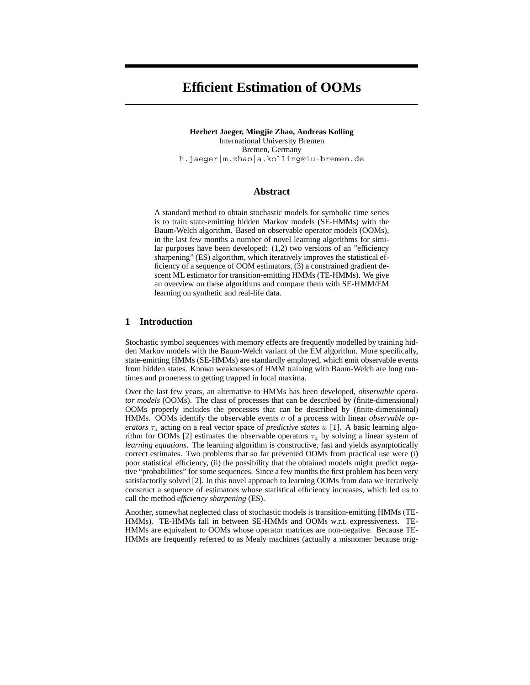# **Efficient Estimation of OOMs**

**Herbert Jaeger, Mingjie Zhao, Andreas Kolling** International University Bremen Bremen, Germany h.jaeger|m.zhao|a.kolling@iu-bremen.de

## **Abstract**

A standard method to obtain stochastic models for symbolic time series is to train state-emitting hidden Markov models (SE-HMMs) with the Baum-Welch algorithm. Based on observable operator models (OOMs), in the last few months a number of novel learning algorithms for similar purposes have been developed: (1,2) two versions of an "efficiency sharpening" (ES) algorithm, which iteratively improves the statistical efficiency of a sequence of OOM estimators, (3) a constrained gradient descent ML estimator for transition-emitting HMMs (TE-HMMs). We give an overview on these algorithms and compare them with SE-HMM/EM learning on synthetic and real-life data.

## **1 Introduction**

Stochastic symbol sequences with memory effects are frequently modelled by training hidden Markov models with the Baum-Welch variant of the EM algorithm. More specifically, state-emitting HMMs (SE-HMMs) are standardly employed, which emit observable events from hidden states. Known weaknesses of HMM training with Baum-Welch are long runtimes and proneness to getting trapped in local maxima.

Over the last few years, an alternative to HMMs has been developed, *observable operator models* (OOMs). The class of processes that can be described by (finite-dimensional) OOMs properly includes the processes that can be described by (finite-dimensional) HMMs. OOMs identify the observable events a of a process with linear *observable operators*  $\tau_a$  acting on a real vector space of *predictive states* w [1]. A basic learning algorithm for OOMs [2] estimates the observable operators  $\tau_a$  by solving a linear system of *learning equations*. The learning algorithm is constructive, fast and yields asymptotically correct estimates. Two problems that so far prevented OOMs from practical use were (i) poor statistical efficiency, (ii) the possibility that the obtained models might predict negative "probabilities" for some sequences. Since a few months the first problem has been very satisfactorily solved [2]. In this novel approach to learning OOMs from data we iteratively construct a sequence of estimators whose statistical efficiency increases, which led us to call the method *efficiency sharpening* (ES).

Another, somewhat neglected class of stochastic models is transition-emitting HMMs (TE-HMMs). TE-HMMs fall in between SE-HMMs and OOMs w.r.t. expressiveness. TE-HMMs are equivalent to OOMs whose operator matrices are non-negative. Because TE-HMMs are frequently referred to as Mealy machines (actually a misnomer because orig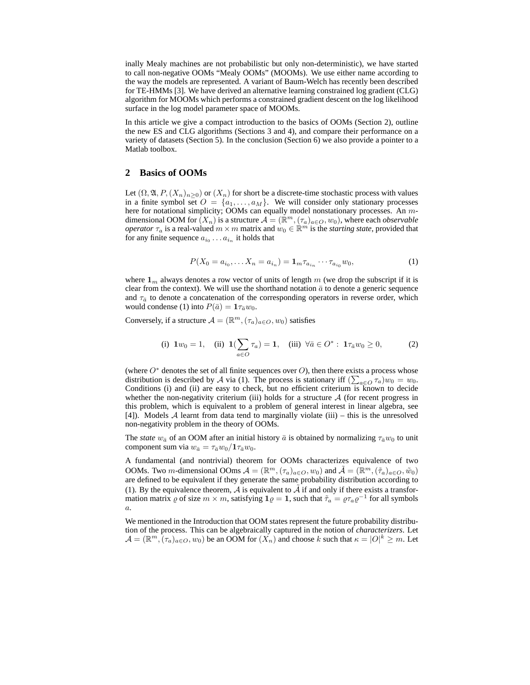inally Mealy machines are not probabilistic but only non-deterministic), we have started to call non-negative OOMs "Mealy OOMs" (MOOMs). We use either name according to the way the models are represented. A variant of Baum-Welch has recently been described for TE-HMMs [3]. We have derived an alternative learning constrained log gradient (CLG) algorithm for MOOMs which performs a constrained gradient descent on the log likelihood surface in the log model parameter space of MOOMs.

In this article we give a compact introduction to the basics of OOMs (Section 2), outline the new ES and CLG algorithms (Sections 3 and 4), and compare their performance on a variety of datasets (Section 5). In the conclusion (Section 6) we also provide a pointer to a Matlab toolbox.

## **2 Basics of OOMs**

Let  $(\Omega, \mathfrak{A}, P, (X_n)_{n>0})$  or  $(X_n)$  for short be a discrete-time stochastic process with values in a finite symbol set  $O = \{a_1, \ldots, a_M\}$ . We will consider only stationary processes here for notational simplicity; OOMs can equally model nonstationary processes. An mdimensional OOM for  $(X_n)$  is a structure  $\mathcal{A} = (\mathbb{R}^m, (\tau_a)_{a \in O}, w_0)$ , where each *observable operator*  $\tau_a$  is a real-valued  $m \times m$  matrix and  $w_0 \in \mathbb{R}^m$  is the *starting state*, provided that for any finite sequence  $a_{i_0} \ldots a_{i_n}$  it holds that

$$
P(X_0 = a_{i_0}, \dots X_n = a_{i_n}) = \mathbf{1}_m \tau_{a_{i_n}} \cdots \tau_{a_{i_0}} w_0,
$$
\n(1)

where  $\mathbf{1}_m$  always denotes a row vector of units of length m (we drop the subscript if it is clear from the context). We will use the shorthand notation  $\bar{a}$  to denote a generic sequence and  $\tau_{\bar{a}}$  to denote a concatenation of the corresponding operators in reverse order, which would condense (1) into  $P(\bar{a}) = \mathbf{1}\tau_{\bar{a}}w_0$ .

Conversely, if a structure  $\mathcal{A} = (\mathbb{R}^m, (\tau_a)_{a \in \mathcal{O}}, w_0)$  satisfies

(i) 
$$
\mathbf{1}w_0 = 1
$$
, (ii)  $\mathbf{1}(\sum_{a \in O} \tau_a) = \mathbf{1}$ , (iii)  $\forall \bar{a} \in O^* : \mathbf{1}\tau_{\bar{a}}w_0 \geq 0$ , (2)

(where  $O^*$  denotes the set of all finite sequences over  $O$ ), then there exists a process whose distribution is described by A via (1). The process is stationary iff  $(\sum_{a \in O} \tau_a)w_0 = w_0$ .<br>Conditions (i) and (ii) are easy to check but no efficient criterium is known to decide Conditions (i) and (ii) are easy to check, but no efficient criterium is known to decide whether the non-negativity criterium (iii) holds for a structure  $A$  (for recent progress in this problem, which is equivalent to a problem of general interest in linear algebra, see [4]). Models A learnt from data tend to marginally violate (iii) – this is the unresolved non-negativity problem in the theory of OOMs.

The *state*  $w_{\bar{a}}$  of an OOM after an initial history  $\bar{a}$  is obtained by normalizing  $\tau_{\bar{a}}w_0$  to unit component sum via  $w_{\bar{a}} = \tau_{\bar{a}}w_0/1\tau_{\bar{a}}w_0$ .

A fundamental (and nontrivial) theorem for OOMs characterizes equivalence of two OOMs. Two *m*-dimensional OOms  $A = (\mathbb{R}^m, (\tau_a)_{a \in O}, w_0)$  and  $\tilde{A} = (\mathbb{R}^m, (\tilde{\tau}_a)_{a \in O}, \tilde{w}_0)$ are defined to be equivalent if they generate the same probability distribution according to (1). By the equivalence theorem,  $A$  is equivalent to  $\tilde{A}$  if and only if there exists a transformation matrix  $\rho$  of size  $m \times m$ , satisfying  $\mathbf{1}\rho = \mathbf{1}$ , such that  $\tilde{\tau}_a = \rho \tau_a \rho^{-1}$  for all symbols  $\overline{a}$ .

We mentioned in the Introduction that OOM states represent the future probability distribution of the process. This can be algebraically captured in the notion of *characterizers*. Let  $\mathcal{A} = (\mathbb{R}^m, (\tau_a)_{a \in O}, w_0)$  be an OOM for  $(X_n)$  and choose k such that  $\kappa = |O|^k \ge m$ . Let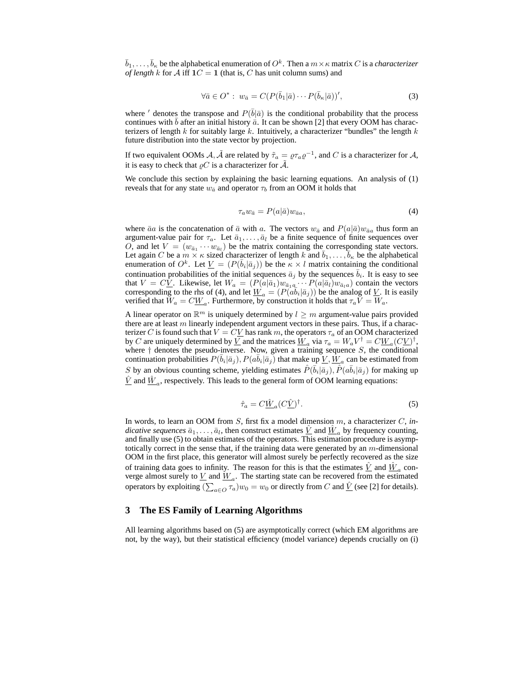$\bar{b}_1,\ldots,\bar{b}_\kappa$  be the alphabetical enumeration of  $O^k$ . Then a  $m \times \kappa$  matrix C is a *characterizer of length* k for A iff  $1C = 1$  (that is, C has unit column sums) and

$$
\forall \bar{a} \in O^* : w_{\bar{a}} = C(P(\bar{b}_1|\bar{a}) \cdots P(\bar{b}_\kappa|\bar{a}))',\tag{3}
$$

where ' denotes the transpose and  $P(\bar{b}|\bar{a})$  is the conditional probability that the process continues with b after an initial history  $\bar{a}$ . It can be shown [2] that every OOM has characterizers of length k for suitably large k. Intuitively, a characterizer "bundles" the length k future distribution into the state vector by projection.

If two equivalent OOMs  $A$ ,  $\tilde{A}$  are related by  $\tilde{\tau}_a = \varrho \tau_a \varrho^{-1}$ , and C is a characterizer for  $A$ , it is easy to check that  $\varrho C$  is a characterizer for A.

We conclude this section by explaining the basic learning equations. An analysis of (1) reveals that for any state  $w_{\bar{a}}$  and operator  $\tau_b$  from an OOM it holds that

$$
\tau_a w_{\bar{a}} = P(a|\bar{a}) w_{\bar{a}a},\tag{4}
$$

where  $\bar{a}a$  is the concatenation of  $\bar{a}$  with a. The vectors  $w_{\bar{a}}$  and  $P(a|\bar{a})w_{\bar{a}a}$  thus form an argument-value pair for  $\tau_a$ . Let  $\bar{a}_1,\ldots,\bar{a}_l$  be a finite sequence of finite sequences over O, and let  $V = (w_{\bar{a}_1} \cdots w_{\bar{a}_l})$  be the matrix containing the corresponding state vectors. Let again C be a  $m \times \kappa$  sized characterizer of length k and  $b_1, \ldots, b_{\kappa}$  be the alphabetical<br>summarism of  $O_{\kappa}^{k}$ . Let  $V_{\kappa} = (D(\bar{k} | \bar{s}))$  be the u.v. *I* matrix containing the conditional enumeration of  $O^k$ . Let  $\underline{V} = (P(\bar{b}_i|\bar{a}_j))$  be the  $\kappa \times l$  matrix containing the conditional<br>continuation probabilities of the initial sequences  $\bar{a}_j$ , by the sequences  $\bar{b}_j$ . It is easy to see continuation probabilities of the initial sequences  $\bar{a}_j$  by the sequences  $b_i$ . It is easy to see<br>that  $V = CV$  Likewise let  $W = (P(a|\bar{a}_1)w_{\bar{a}_1} \cdots P(a|\bar{a}_i)w_{\bar{a}_i})$  contain the vectors that  $V = C\underline{V}$ . Likewise, let  $W_a = (P(a|\bar{a}_1)w_{\bar{a}_1a} \cdots P(a|\bar{a}_l)w_{\bar{a}_l a})$  contain the vectors corresponding to the rhs of (4) and let  $W = (P(a\bar{b}_1|\bar{a}_1))$  be the analog of V. It is easily corresponding to the rhs of (4), and let  $\underline{W}_a = (P(ab_i|\bar{a}_j))$  be the analog of V. It is easily<br>verified that  $W_a = CW$  Furthermore, by construction it holds that  $\tau V = W_a$ . verified that  $W_a = C\underline{W}_a$ . Furthermore, by construction it holds that  $\tau_a V = W_a$ .

A linear operator on  $\mathbb{R}^m$  is uniquely determined by  $l \geq m$  argument-value pairs provided there are at least  $m$  linearly independent argument vectors in these pairs. Thus, if a characterizer C is found such that  $V = CV$  has rank m, the operators  $\tau_a$  of an OOM characterized by C are uniquely determined by  $\overline{V}$  and the matrices  $\hat{W}_a$  via  $\tau_a = W_a V^{\dagger} = C \underline{W}_a (C \underline{V})^{\dagger}$ , where  $\dagger$  denotes the pseudo-inverse. Now, given a training sequence  $S$ , the conditional continuation probabilities  $P(\bar{b}_i|\bar{a}_j), P(a\bar{b}_i|\bar{a}_j)$  that make up  $\underline{V}, \underline{W}_a$  can be estimated from S by an obvious counting scheme, yielding estimates  $\hat{P}(\bar{b}_i|\bar{a}_j)$ ,  $\hat{P}(a\bar{b}_i|\bar{a}_j)$  for making up  $\hat{V}$  and  $\hat{W}_a$ , respectively. This leads to the general form of OOM learning equations:

$$
\hat{\tau}_a = C \underline{\hat{W}}_a (C \underline{\hat{V}})^\dagger. \tag{5}
$$

In words, to learn an OOM from S, first fix a model dimension m, a characterizer C, *indicative sequences*  $\bar{a}_1, \ldots, \bar{a}_l$ , then construct estimates  $\hat{V}$  and  $\hat{W}$ <sub>a</sub> by frequency counting, and finally use (5) to obtain estimates of the operators. This estimation procedure is asymptotically correct in the sense that, if the training data were generated by an  $m$ -dimensional OOM in the first place, this generator will almost surely be perfectly recovered as the size of training data goes to infinity. The reason for this is that the estimates  $\hat{V}$  and  $\hat{W}_a$  converge almost surely to V and  $W_a$ . The starting state can be recovered from the estimated operators by exploiting  $(\sum_{a \in O} \tau_a) w_0 = w_0$  or directly from C and  $\underline{V}$  (see [2] for details).

# **3 The ES Family of Learning Algorithms**

All learning algorithms based on (5) are asymptotically correct (which EM algorithms are not, by the way), but their statistical efficiency (model variance) depends crucially on (i)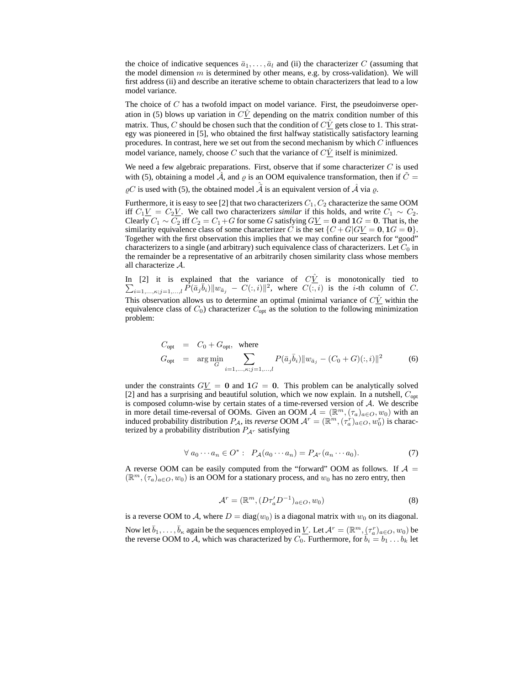the choice of indicative sequences  $\bar{a}_1, \ldots, \bar{a}_l$  and (ii) the characterizer C (assuming that the model dimension  $m$  is determined by other means, e.g. by cross-validation). We will first address (ii) and describe an iterative scheme to obtain characterizers that lead to a low model variance.

The choice of  $C$  has a twofold impact on model variance. First, the pseudoinverse operation in (5) blows up variation in  $C\hat{V}$  depending on the matrix condition number of this matrix. Thus, C should be chosen such that the condition of  $C\hat{V}$  gets close to 1. This strategy was pioneered in [5], who obtained the first halfway statistically satisfactory learning procedures. In contrast, here we set out from the second mechanism by which C influences model variance, namely, choose C such that the variance of  $C\hat{V}$  itself is minimized.

We need a few algebraic preparations. First, observe that if some characterizer  $C$  is used with (5), obtaining a model  $\tilde{A}$ , and  $\varrho$  is an OOM equivalence transformation, then if  $C =$  $\varrho C$  is used with (5), the obtained model A is an equivalent version of A via  $\varrho$ .

Furthermore, it is easy to see [2] that two characterizers  $C_1, C_2$  characterize the same OOM iff  $C_1V = C_2V$ . We call two characterizers *similar* if this holds, and write  $C_1 \sim C_2$ . Clearly  $C_1 \sim \overline{C_2}$  iff  $C_2 = C_1 + G$  for some G satisfying  $G\underline{V} = \mathbf{0}$  and  $\mathbf{1}G = \mathbf{0}$ . That is, the similarity equivalence class of some characterizer C is the set  $\{C + G | G V = \mathbf{0} | G \}$ similarity equivalence class of some characterizer  $\check{C}$  is the set  $\{C + G | G\underline{V} = \mathbf{0}, \mathbf{1}G = \mathbf{0}\}$ .<br>Together with the first observation this implies that we may confine our search for "good" Together with the first observation this implies that we may confine our search for "good" characterizers to a single (and arbitrary) such equivalence class of characterizers. Let  $C_0$  in the remainder be a representative of an arbitrarily chosen similarity class whose members all characterize A.

In [2] it is explained that the variance of  $CV_{\sum_{i=1}^{\infty} \kappa_i}$   $P(\bar{a}_i \bar{b}_i) ||w_{\bar{a}_i} - C(:,i)||^2$ , where  $C(:,i)$ In [2] it is explained that the variance of  $\overline{CV}$  is monotonically tied to  $\|u_{i=1,\ldots,k;j=1,\ldots,l} P(\bar{a}_j \bar{b}_i) \|w_{\bar{a}_j} - C(:,i)\|^2$ , where  $C(:,i)$  is the *i*-th column of C. This observation allows us to determine an optimal (minimal variance of  $C\hat{V}$  within the equivalence class of  $C_0$ ) characterizer  $C_{opt}$  as the solution to the following minimization problem:

$$
C_{\text{opt}} = C_0 + G_{\text{opt}}, \text{ where}
$$
  
\n
$$
G_{\text{opt}} = \arg \min_{G} \sum_{i=1,..., \kappa; j=1,...,l} P(\bar{a}_j \bar{b}_i) ||w_{\bar{a}_j} - (C_0 + G)(:, i)||^2
$$
 (6)

under the constraints  $GV = 0$  and  $1G = 0$ . This problem can be analytically solved [2] and has a surprising and beautiful solution, which we now explain. In a nutshell,  $C_{\text{opt}}$ is composed column-wise by certain states of a time-reversed version of  $A$ . We describe in more detail time-reversal of OOMs. Given an OOM  $A = (\mathbb{R}^m, (\tau_a)_{a \in O}, w_0)$  with an induced probability distribution  $P_A$ , its *reverse* OOM  $\mathcal{A}^r = (\mathbb{R}^m, (\tau_a^r)_{a \in O}, w_0^r)$  is characterized by a probability distribution  $P_A$ , satisfying terized by a probability distribution  $P_{A^r}$  satisfying

$$
\forall a_0 \cdots a_n \in O^* : \ P_{\mathcal{A}}(a_0 \cdots a_n) = P_{\mathcal{A}^r}(a_n \cdots a_0).
$$
 (7)

A reverse OOM can be easily computed from the "forward" OOM as follows. If  $A =$  $(\mathbb{R}^m, (\tau_a)_{a\in\mathcal{O}}, w_0)$  is an OOM for a stationary process, and  $w_0$  has no zero entry, then

$$
\mathcal{A}^r = (\mathbb{R}^m, (D\tau_a'D^{-1})_{a \in O}, w_0)
$$
\n(8)

is a reverse OOM to A, where  $D = diag(w_0)$  is a diagonal matrix with  $w_0$  on its diagonal. Now let  $\bar{b}_1, \ldots, \bar{b}_k$  again be the sequences employed in V. Let  $\mathcal{A}^r = (\mathbb{R}^m, (\tau_a^r)_{a \in \mathcal{O}}, w_0)$  be the reverse OOM to  $\mathcal{A}$  which was characterized by  $C_0$ . Furthermore, for  $\bar{b}_i = b_i - b_i$ , let the reverse OOM to A, which was characterized by  $C_0$ . Furthermore, for  $\vec{b}_i = b_1 \dots b_k$  let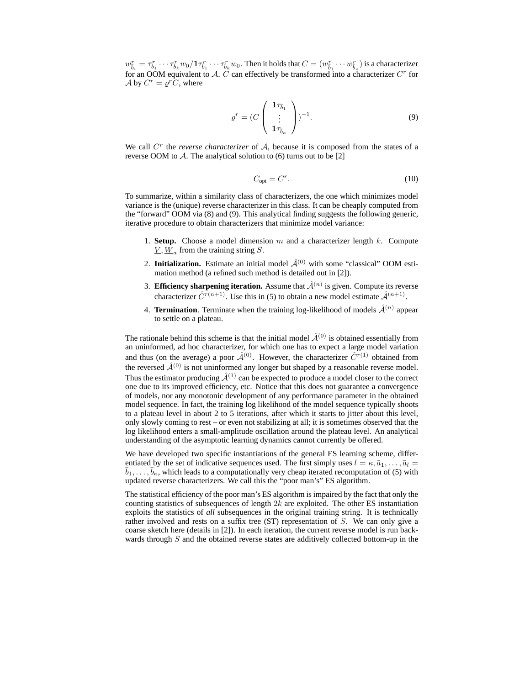$w_{\bar{b}_i}^r = \tau_{b_1}^r \cdots \tau_{b_k}^r w_0 / \mathbf{1} \tau_{b_1}^r \cdots \tau_{b_k}^r w_0$ . Then it holds that  $C = (w_{\bar{b}_1}^r \cdots w_{\bar{b}_k}^r)$  is a characterizer for an OOM equivalent to A. C can effectively be transformed into a characterizer A by  $C^r = \rho^r C$ , where

$$
\varrho^r = (C \begin{pmatrix} 1_{\tau_{\bar{b}_1}} \\ \vdots \\ 1_{\tau_{\bar{b}_\kappa}} \end{pmatrix})^{-1}.
$$
 (9)

We call  $C<sup>r</sup>$  the *reverse characterizer* of  $A$ , because it is composed from the states of a reverse OOM to  $\mathcal{A}$ . The analytical solution to (6) turns out to be [2]

$$
C_{\text{opt}} = C^r. \tag{10}
$$

To summarize, within a similarity class of characterizers, the one which minimizes model variance is the (unique) reverse characterizer in this class. It can be cheaply computed from the "forward" OOM via (8) and (9). This analytical finding suggests the following generic, iterative procedure to obtain characterizers that minimize model variance:

- 1. **Setup.** Choose a model dimension  $m$  and a characterizer length  $k$ . Compute  $V, W_a$  from the training string S.
- 2. **Initialization.** Estimate an initial model  $\hat{\mathcal{A}}^{(0)}$  with some "classical" OOM estimation method (a refined such method is detailed out in [2]).
- 3. **Efficiency sharpening iteration.** Assume that  $\hat{A}^{(n)}$  is given. Compute its reverse characterizer  $\hat{C}^{r(n+1)}$ . Use this in (5) to obtain a new model estimate  $\hat{\mathcal{A}}^{(n+1)}$ .
- 4. **Termination**. Terminate when the training log-likelihood of models  $\hat{\mathcal{A}}^{(n)}$  appear to settle on a plateau.

The rationale behind this scheme is that the initial model  $\hat{\mathcal{A}}^{(0)}$  is obtained essentially from an uninformed, ad hoc characterizer, for which one has to expect a large model variation and thus (on the average) a poor  $\hat{\mathcal{A}}^{(0)}$ . However, the characterizer  $\hat{C}^{r(1)}$  obtained from the reversed  $\hat{\mathcal{A}}^{(0)}$  is not uninformed any longer but shaped by a reasonable reverse model. Thus the estimator producing  $\hat{A}^{(1)}$  can be expected to produce a model closer to the correct one due to its improved efficiency, etc. Notice that this does not guarantee a convergence of models, nor any monotonic development of any performance parameter in the obtained model sequence. In fact, the training log likelihood of the model sequence typically shoots to a plateau level in about 2 to 5 iterations, after which it starts to jitter about this level, only slowly coming to rest – or even not stabilizing at all; it is sometimes observed that the log likelihood enters a small-amplitude oscillation around the plateau level. An analytical understanding of the asymptotic learning dynamics cannot currently be offered.

We have developed two specific instantiations of the general ES learning scheme, differentiated by the set of indicative sequences used. The first simply uses  $l = \kappa, \bar{a}_1, \ldots, \bar{a}_l = \bar{b}_1, \ldots, \bar{b}_\kappa$ , which leads to a computationally very cheap iterated recomputation of (5) with updated reverse characterizers. We call this the "poor man's" ES algorithm.

The statistical efficiency of the poor man's ES algorithm is impaired by the fact that only the counting statistics of subsequences of length  $2k$  are exploited. The other ES instantiation exploits the statistics of *all* subsequences in the original training string. It is technically rather involved and rests on a suffix tree (ST) representation of S. We can only give a coarse sketch here (details in [2]). In each iteration, the current reverse model is run backwards through  $S$  and the obtained reverse states are additively collected bottom-up in the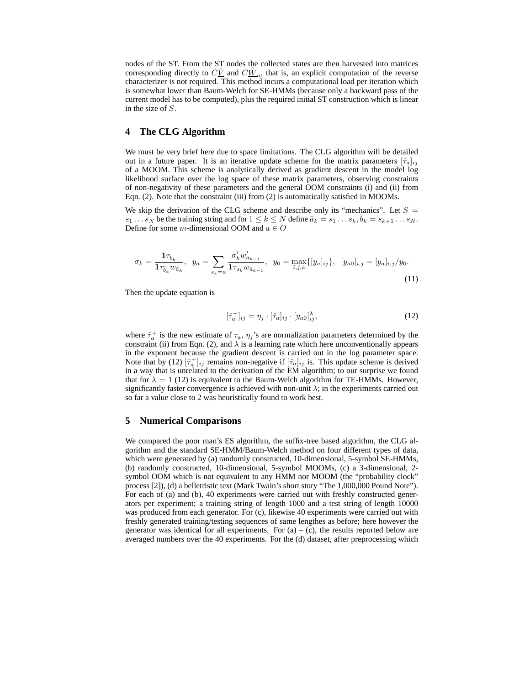nodes of the ST. From the ST nodes the collected states are then harvested into matrices corresponding directly to  $C\hat{V}$  and  $C\hat{W}_a$ , that is, an explicit computation of the reverse characterizer is not required. This method incurs a computational load per iteration which is somewhat lower than Baum-Welch for SE-HMMs (because only a backward pass of the current model has to be computed), plus the required initial ST construction which is linear in the size of S.

## **4 The CLG Algorithm**

We must be very brief here due to space limitations. The CLG algorithm will be detailed out in a future paper. It is an iterative update scheme for the matrix parameters  $[\hat{\tau}_a]_{ij}$ of a MOOM. This scheme is analytically derived as gradient descent in the model log likelihood surface over the log space of these matrix parameters, observing constraints of non-negativity of these parameters and the general OOM constraints (i) and (ii) from Eqn. (2). Note that the constraint (iii) from (2) is automatically satisfied in MOOMs.

We skip the derivation of the CLG scheme and describe only its "mechanics". Let  $S =$  $s_1 \dots s_N$  be the training string and for  $1 \leq k \leq N$  define  $\bar{a}_k = s_1 \dots s_k, \bar{b}_k = s_{k+1} \dots s_N$ . Define for some  $m$ -dimensional OOM and  $a \in O$ 

$$
\sigma_k = \frac{\mathbf{1}\tau_{\tilde{b}_k}}{\mathbf{1}\tau_{\tilde{b}_k}w_{\bar{a}_k}}, \ \ y_a = \sum_{s_k=a} \frac{\sigma'_k w'_{\tilde{a}_{k-1}}}{\mathbf{1}\tau_{s_k}w_{\tilde{a}_{k-1}}}, \ \ y_0 = \max_{i,j,a} \{ [y_a]_{ij} \}, \ \ [y_{a0}]_{i,j} = [y_a]_{i,j}/y_0.
$$
\n(11)

Then the update equation is

$$
[\hat{\tau}_a^+]_{ij} = \eta_j \cdot [\hat{\tau}_a]_{ij} \cdot [y_{a0}]_{ij}^{\lambda},\tag{12}
$$

where  $\hat{\tau}_a^+$  is the new estimate of  $\tau_a$ ,  $\eta_j$ 's are normalization parameters determined by the constraint (ii) from Eqn. (2) and  $\lambda$  is a learning rate which here unconventionally appears constraint (ii) from Eqn. (2), and  $\lambda$  is a learning rate which here unconventionally appears in the exponent because the gradient descent is carried out in the log parameter space. Note that by (12)  $[\hat{\tau}_a^+]_{ij}$  remains non-negative if  $[\hat{\tau}_a]_{ij}$  is. This update scheme is derived in a way that is unrelated to the derivation of the EM algorithm: to our surprise we found in a way that is unrelated to the derivation of the EM algorithm; to our surprise we found that for  $\lambda = 1$  (12) is equivalent to the Baum-Welch algorithm for TE-HMMs. However, significantly faster convergence is achieved with non-unit  $\lambda$ ; in the experiments carried out so far a value close to 2 was heuristically found to work best.

## **5 Numerical Comparisons**

We compared the poor man's ES algorithm, the suffix-tree based algorithm, the CLG algorithm and the standard SE-HMM/Baum-Welch method on four different types of data, which were generated by (a) randomly constructed, 10-dimensional, 5-symbol SE-HMMs, (b) randomly constructed, 10-dimensional, 5-symbol MOOMs, (c) a 3-dimensional, 2 symbol OOM which is not equivalent to any HMM nor MOOM (the "probability clock" process [2]), (d) a belletristic text (Mark Twain's short story "The 1,000,000 Pound Note"). For each of (a) and (b), 40 experiments were carried out with freshly constructed generators per experiment; a training string of length 1000 and a test string of length 10000 was produced from each generator. For (c), likewise 40 experiments were carried out with freshly generated training/testing sequences of same lengthes as before; here however the generator was identical for all experiments. For  $(a) - (c)$ , the results reported below are averaged numbers over the 40 experiments. For the (d) dataset, after preprocessing which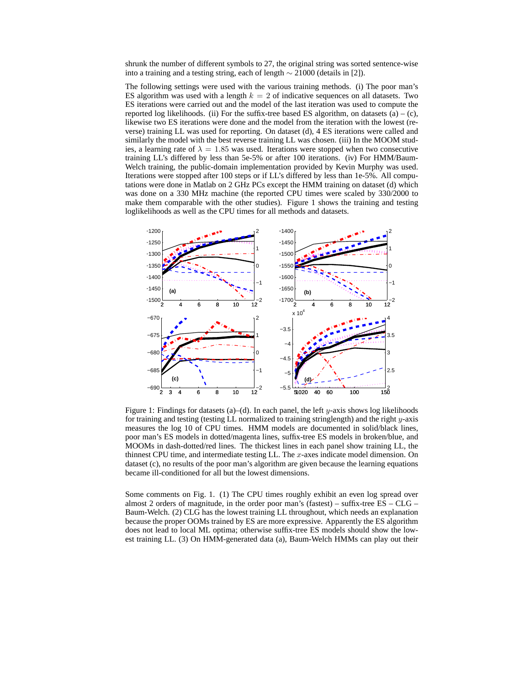shrunk the number of different symbols to 27, the original string was sorted sentence-wise into a training and a testing string, each of length  $\sim$  21000 (details in [2]).

The following settings were used with the various training methods. (i) The poor man's ES algorithm was used with a length  $k = 2$  of indicative sequences on all datasets. Two ES iterations were carried out and the model of the last iteration was used to compute the reported log likelihoods. (ii) For the suffix-tree based ES algorithm, on datasets (a)  $-$  (c), likewise two ES iterations were done and the model from the iteration with the lowest (reverse) training LL was used for reporting. On dataset (d), 4 ES iterations were called and similarly the model with the best reverse training LL was chosen. (iii) In the MOOM studies, a learning rate of  $\lambda = 1.85$  was used. Iterations were stopped when two consecutive training LL's differed by less than 5e-5% or after 100 iterations. (iv) For HMM/Baum-Welch training, the public-domain implementation provided by Kevin Murphy was used. Iterations were stopped after 100 steps or if LL's differed by less than 1e-5%. All computations were done in Matlab on 2 GHz PCs except the HMM training on dataset (d) which was done on a 330 MHz machine (the reported CPU times were scaled by 330/2000 to make them comparable with the other studies). Figure 1 shows the training and testing loglikelihoods as well as the CPU times for all methods and datasets.



Figure 1: Findings for datasets (a)–(d). In each panel, the left y-axis shows log likelihoods for training and testing (testing LL normalized to training stringlength) and the right  $y$ -axis measures the log 10 of CPU times. HMM models are documented in solid/black lines, poor man's ES models in dotted/magenta lines, suffix-tree ES models in broken/blue, and MOOMs in dash-dotted/red lines. The thickest lines in each panel show training LL, the thinnest CPU time, and intermediate testing LL. The x-axes indicate model dimension. On dataset (c), no results of the poor man's algorithm are given because the learning equations became ill-conditioned for all but the lowest dimensions.

Some comments on Fig. 1. (1) The CPU times roughly exhibit an even log spread over almost 2 orders of magnitude, in the order poor man's (fastest) – suffix-tree ES – CLG – Baum-Welch. (2) CLG has the lowest training LL throughout, which needs an explanation because the proper OOMs trained by ES are more expressive. Apparently the ES algorithm does not lead to local ML optima; otherwise suffix-tree ES models should show the lowest training LL. (3) On HMM-generated data (a), Baum-Welch HMMs can play out their